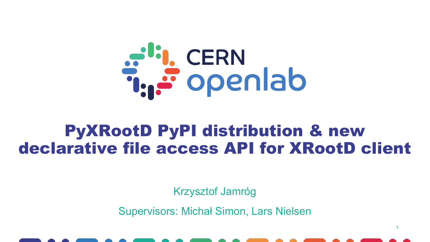

#### PyXRootD PyPI distribution & new declarative file access API for XRootD client

Krzysztof Jamróg

Supervisors: Michał Simon, Lars Nielsen

1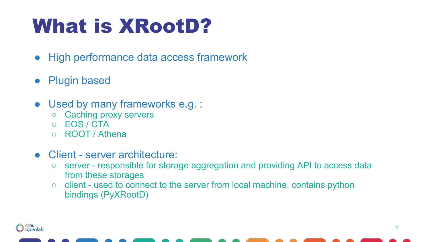# What is XRootD?

- High performance data access framework
- **Plugin based**
- Used by many frameworks e.g. :
	- Caching proxy servers
	- EOS / CTA

انا<br>ڪوڪر

- ROOT / Athena
- Client server architecture:
	- server responsible for storage aggregation and providing API to access data from these storages
	- client used to connect to the server from local machine, contains python bindings (PyXRootD)

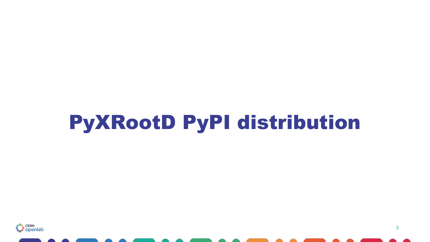## PyXRootD PyPI distribution

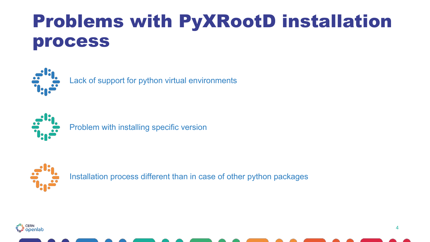#### Problems with PyXRootD installation process



Lack of support for python virtual environments



Problem with installing specific version



Installation process different than in case of other python packages



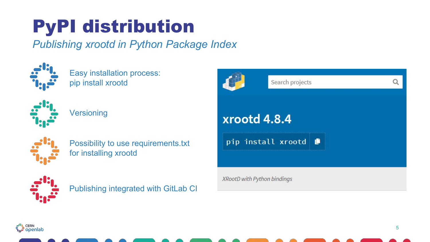#### PyPI distribution

#### *Publishing xrootd in Python Package Index*



Easy installation process: pip install xrootd



**Versioning** 



Possibility to use requirements.txt for installing xrootd



Publishing integrated with GitLab CI

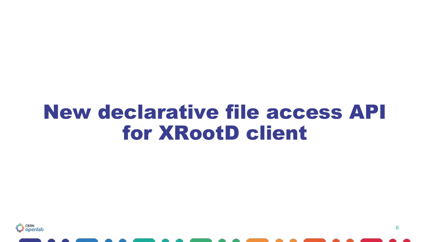#### New declarative file access API for XRootD client

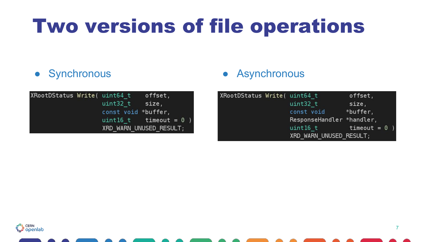# Two versions of file operations

| XRootDStatus Write( uint64 t |                     | offset,                  |  |
|------------------------------|---------------------|--------------------------|--|
|                              | $uint32 t$ size,    |                          |  |
|                              | const void *buffer, |                          |  |
|                              |                     | uint16 t timeout = $0$ ) |  |
|                              |                     | XRD WARN UNUSED RESULT;  |  |

#### ● Synchronous ● Asynchronous

| (RootDStatus Write( uint64 t |                            | offset,  |  |
|------------------------------|----------------------------|----------|--|
|                              | uint32 t                   | size,    |  |
|                              | const void                 | *buffer, |  |
|                              | ResponseHandler *handler,  |          |  |
|                              | $uint16$ t $timeout = 0$ ) |          |  |
|                              | XRD WARN UNUSED RESULT;    |          |  |

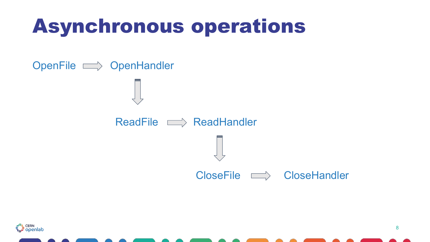#### Asynchronous operations



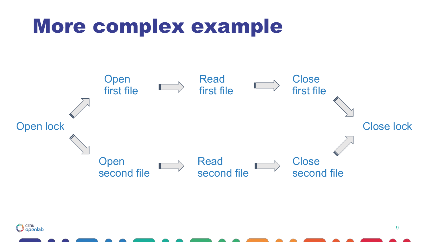#### More complex example



F<sup>it</sup>L CERN<br>T<sub>ur</sub> Openlab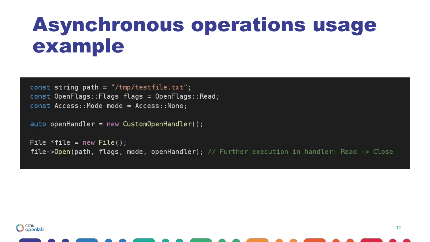#### Asynchronous operations usage example

```
const string path = \frac{1}{2} /tmp/testfile.txt";
const OpenFlags::Flags flags = OpenFlags::Read;
const Access:: Mode mode = Access:: None;
```

```
auto openHandler = new CustomerOpenHandler();
```

```
File *file = new File();
file->Open(path, flags, mode, openHandler); // Further execution in handler: Read -> Close
```
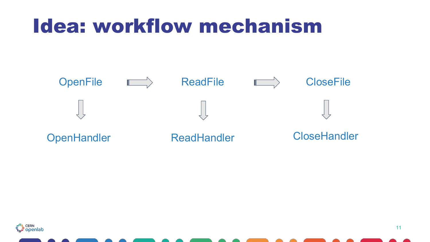#### Idea: workflow mechanism



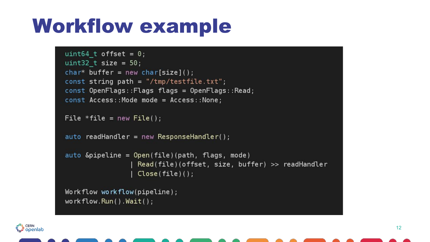### Workflow example

```
uint64 t offset = 0;
uint32 t size = 50;
char* buffer = new char[size]();
const string path = \frac{1}{2} /tmp/testfile.txt";
const OpenFlags::Flags flags = OpenFlags::Read;
const Access: : Mode mode = Access: : None;File *file = new File();
auto readHandler = new ResponseHandler();auto \&pipeline = Open(file)(path, flags, mode)
                  Read(file)(offset, size, buffer) >> readHandlerClose(file)();Workflow workflow(pipeline);
workflow.Run().Wait();
```
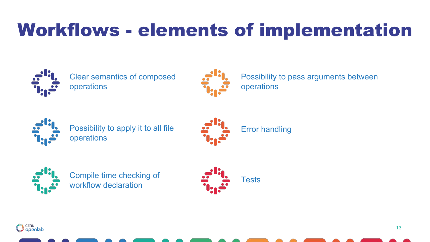#### Workflows - elements of implementation



Clear semantics of composed operations



Possibility to pass arguments between operations



Possibility to apply it to all file operations





Compile time checking of workflow declaration



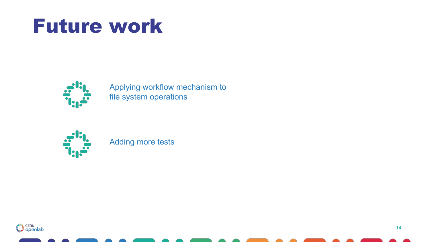#### Future work



Applying workflow mechanism to file system operations



Adding more tests